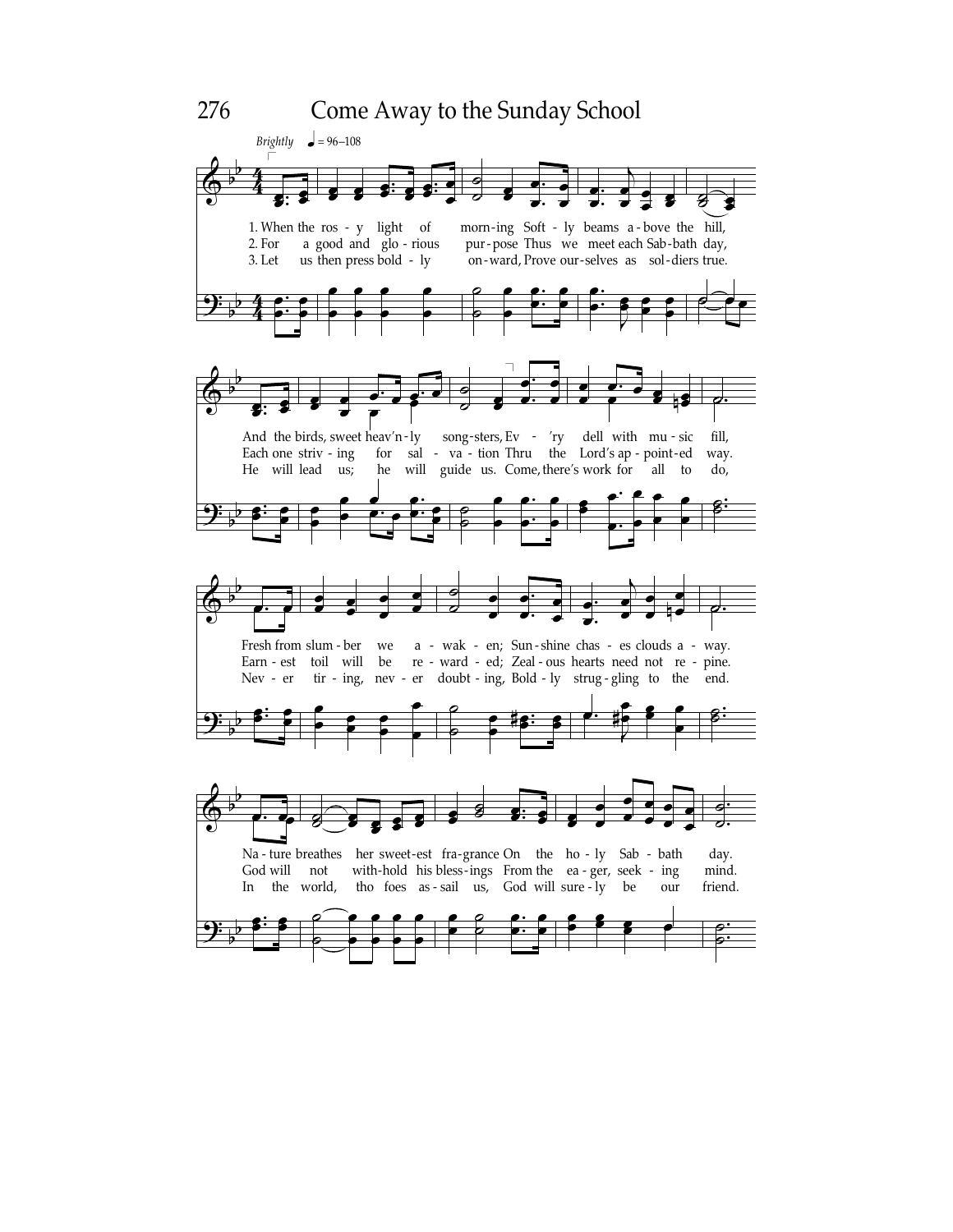